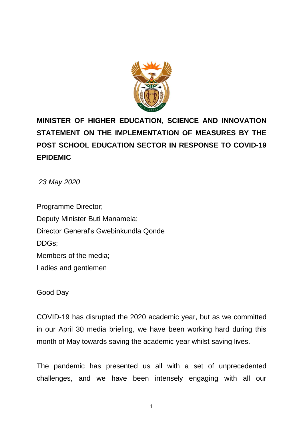

# **MINISTER OF HIGHER EDUCATION, SCIENCE AND INNOVATION STATEMENT ON THE IMPLEMENTATION OF MEASURES BY THE POST SCHOOL EDUCATION SECTOR IN RESPONSE TO COVID-19 EPIDEMIC**

*23 May 2020*

Programme Director; Deputy Minister Buti Manamela; Director General's Gwebinkundla Qonde DDGs; Members of the media; Ladies and gentlemen

Good Day

COVID-19 has disrupted the 2020 academic year, but as we committed in our April 30 media briefing, we have been working hard during this month of May towards saving the academic year whilst saving lives.

The pandemic has presented us all with a set of unprecedented challenges, and we have been intensely engaging with all our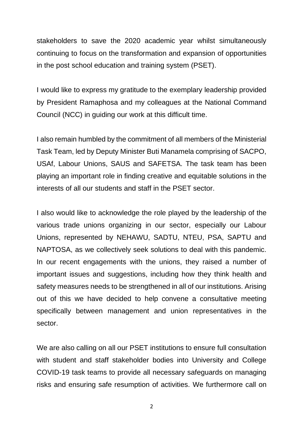stakeholders to save the 2020 academic year whilst simultaneously continuing to focus on the transformation and expansion of opportunities in the post school education and training system (PSET).

I would like to express my gratitude to the exemplary leadership provided by President Ramaphosa and my colleagues at the National Command Council (NCC) in guiding our work at this difficult time.

I also remain humbled by the commitment of all members of the Ministerial Task Team, led by Deputy Minister Buti Manamela comprising of SACPO, USAf, Labour Unions, SAUS and SAFETSA. The task team has been playing an important role in finding creative and equitable solutions in the interests of all our students and staff in the PSET sector.

I also would like to acknowledge the role played by the leadership of the various trade unions organizing in our sector, especially our Labour Unions, represented by NEHAWU, SADTU, NTEU, PSA, SAPTU and NAPTOSA, as we collectively seek solutions to deal with this pandemic. In our recent engagements with the unions, they raised a number of important issues and suggestions, including how they think health and safety measures needs to be strengthened in all of our institutions. Arising out of this we have decided to help convene a consultative meeting specifically between management and union representatives in the sector.

We are also calling on all our PSET institutions to ensure full consultation with student and staff stakeholder bodies into University and College COVID-19 task teams to provide all necessary safeguards on managing risks and ensuring safe resumption of activities. We furthermore call on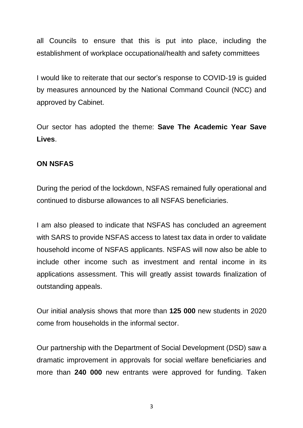all Councils to ensure that this is put into place, including the establishment of workplace occupational/health and safety committees

I would like to reiterate that our sector's response to COVID-19 is guided by measures announced by the National Command Council (NCC) and approved by Cabinet.

Our sector has adopted the theme: **Save The Academic Year Save Lives**.

# **ON NSFAS**

During the period of the lockdown, NSFAS remained fully operational and continued to disburse allowances to all NSFAS beneficiaries.

I am also pleased to indicate that NSFAS has concluded an agreement with SARS to provide NSFAS access to latest tax data in order to validate household income of NSFAS applicants. NSFAS will now also be able to include other income such as investment and rental income in its applications assessment. This will greatly assist towards finalization of outstanding appeals.

Our initial analysis shows that more than **125 000** new students in 2020 come from households in the informal sector.

Our partnership with the Department of Social Development (DSD) saw a dramatic improvement in approvals for social welfare beneficiaries and more than **240 000** new entrants were approved for funding. Taken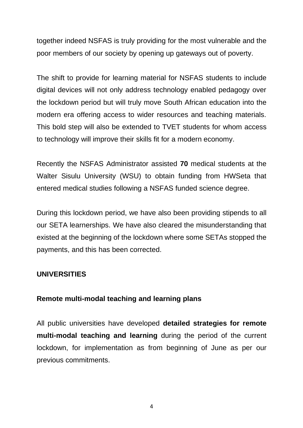together indeed NSFAS is truly providing for the most vulnerable and the poor members of our society by opening up gateways out of poverty.

The shift to provide for learning material for NSFAS students to include digital devices will not only address technology enabled pedagogy over the lockdown period but will truly move South African education into the modern era offering access to wider resources and teaching materials. This bold step will also be extended to TVET students for whom access to technology will improve their skills fit for a modern economy.

Recently the NSFAS Administrator assisted **70** medical students at the Walter Sisulu University (WSU) to obtain funding from HWSeta that entered medical studies following a NSFAS funded science degree.

During this lockdown period, we have also been providing stipends to all our SETA learnerships. We have also cleared the misunderstanding that existed at the beginning of the lockdown where some SETAs stopped the payments, and this has been corrected.

# **UNIVERSITIES**

# **Remote multi-modal teaching and learning plans**

All public universities have developed **detailed strategies for remote multi-modal teaching and learning** during the period of the current lockdown, for implementation as from beginning of June as per our previous commitments.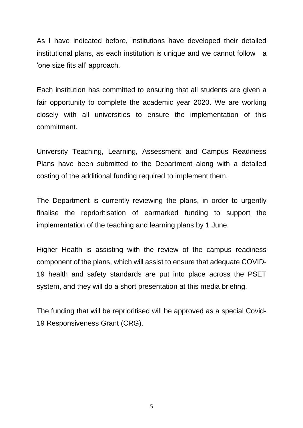As I have indicated before, institutions have developed their detailed institutional plans, as each institution is unique and we cannot follow a 'one size fits all' approach.

Each institution has committed to ensuring that all students are given a fair opportunity to complete the academic year 2020. We are working closely with all universities to ensure the implementation of this commitment.

University Teaching, Learning, Assessment and Campus Readiness Plans have been submitted to the Department along with a detailed costing of the additional funding required to implement them.

The Department is currently reviewing the plans, in order to urgently finalise the reprioritisation of earmarked funding to support the implementation of the teaching and learning plans by 1 June.

Higher Health is assisting with the review of the campus readiness component of the plans, which will assist to ensure that adequate COVID-19 health and safety standards are put into place across the PSET system, and they will do a short presentation at this media briefing.

The funding that will be reprioritised will be approved as a special Covid-19 Responsiveness Grant (CRG).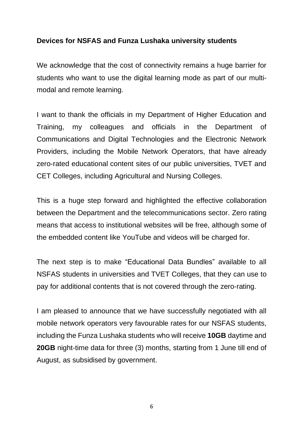# **Devices for NSFAS and Funza Lushaka university students**

We acknowledge that the cost of connectivity remains a huge barrier for students who want to use the digital learning mode as part of our multimodal and remote learning.

I want to thank the officials in my Department of Higher Education and Training, my colleagues and officials in the Department of Communications and Digital Technologies and the Electronic Network Providers, including the Mobile Network Operators, that have already zero-rated educational content sites of our public universities, TVET and CET Colleges, including Agricultural and Nursing Colleges.

This is a huge step forward and highlighted the effective collaboration between the Department and the telecommunications sector. Zero rating means that access to institutional websites will be free, although some of the embedded content like YouTube and videos will be charged for.

The next step is to make "Educational Data Bundles" available to all NSFAS students in universities and TVET Colleges, that they can use to pay for additional contents that is not covered through the zero-rating.

I am pleased to announce that we have successfully negotiated with all mobile network operators very favourable rates for our NSFAS students, including the Funza Lushaka students who will receive **10GB** daytime and **20GB** night-time data for three (3) months, starting from 1 June till end of August, as subsidised by government.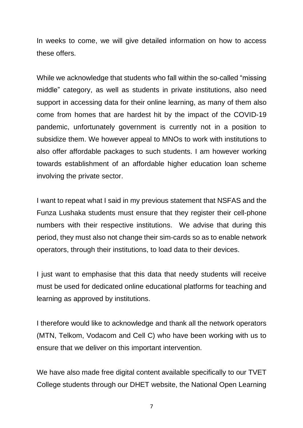In weeks to come, we will give detailed information on how to access these offers.

While we acknowledge that students who fall within the so-called "missing middle" category, as well as students in private institutions, also need support in accessing data for their online learning, as many of them also come from homes that are hardest hit by the impact of the COVID-19 pandemic, unfortunately government is currently not in a position to subsidize them. We however appeal to MNOs to work with institutions to also offer affordable packages to such students. I am however working towards establishment of an affordable higher education loan scheme involving the private sector.

I want to repeat what I said in my previous statement that NSFAS and the Funza Lushaka students must ensure that they register their cell-phone numbers with their respective institutions. We advise that during this period, they must also not change their sim-cards so as to enable network operators, through their institutions, to load data to their devices.

I just want to emphasise that this data that needy students will receive must be used for dedicated online educational platforms for teaching and learning as approved by institutions.

I therefore would like to acknowledge and thank all the network operators (MTN, Telkom, Vodacom and Cell C) who have been working with us to ensure that we deliver on this important intervention.

We have also made free digital content available specifically to our TVET College students through our DHET website, the National Open Learning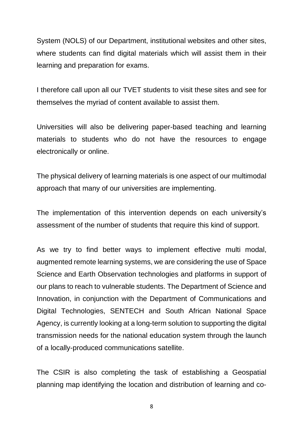System (NOLS) of our Department, institutional websites and other sites, where students can find digital materials which will assist them in their learning and preparation for exams.

I therefore call upon all our TVET students to visit these sites and see for themselves the myriad of content available to assist them.

Universities will also be delivering paper-based teaching and learning materials to students who do not have the resources to engage electronically or online.

The physical delivery of learning materials is one aspect of our multimodal approach that many of our universities are implementing.

The implementation of this intervention depends on each university's assessment of the number of students that require this kind of support.

As we try to find better ways to implement effective multi modal, augmented remote learning systems, we are considering the use of Space Science and Earth Observation technologies and platforms in support of our plans to reach to vulnerable students. The Department of Science and Innovation, in conjunction with the Department of Communications and Digital Technologies, SENTECH and South African National Space Agency, is currently looking at a long-term solution to supporting the digital transmission needs for the national education system through the launch of a locally-produced communications satellite.

The CSIR is also completing the task of establishing a Geospatial planning map identifying the location and distribution of learning and co-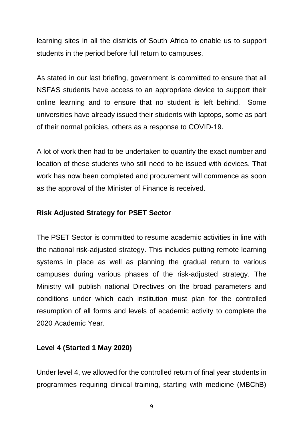learning sites in all the districts of South Africa to enable us to support students in the period before full return to campuses.

As stated in our last briefing, government is committed to ensure that all NSFAS students have access to an appropriate device to support their online learning and to ensure that no student is left behind. Some universities have already issued their students with laptops, some as part of their normal policies, others as a response to COVID-19.

A lot of work then had to be undertaken to quantify the exact number and location of these students who still need to be issued with devices. That work has now been completed and procurement will commence as soon as the approval of the Minister of Finance is received.

# **Risk Adjusted Strategy for PSET Sector**

The PSET Sector is committed to resume academic activities in line with the national risk-adjusted strategy. This includes putting remote learning systems in place as well as planning the gradual return to various campuses during various phases of the risk-adjusted strategy. The Ministry will publish national Directives on the broad parameters and conditions under which each institution must plan for the controlled resumption of all forms and levels of academic activity to complete the 2020 Academic Year.

# **Level 4 (Started 1 May 2020)**

Under level 4, we allowed for the controlled return of final year students in programmes requiring clinical training, starting with medicine (MBChB)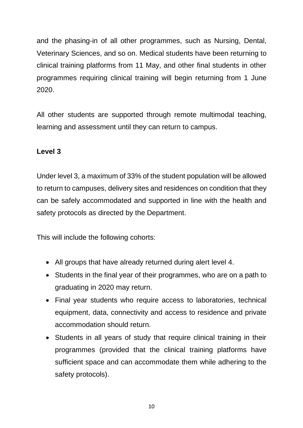and the phasing-in of all other programmes, such as Nursing, Dental, Veterinary Sciences, and so on. Medical students have been returning to clinical training platforms from 11 May, and other final students in other programmes requiring clinical training will begin returning from 1 June 2020.

All other students are supported through remote multimodal teaching, learning and assessment until they can return to campus.

# **Level 3**

Under level 3, a maximum of 33% of the student population will be allowed to return to campuses, delivery sites and residences on condition that they can be safely accommodated and supported in line with the health and safety protocols as directed by the Department.

This will include the following cohorts:

- All groups that have already returned during alert level 4.
- Students in the final year of their programmes, who are on a path to graduating in 2020 may return.
- Final year students who require access to laboratories, technical equipment, data, connectivity and access to residence and private accommodation should return.
- Students in all years of study that require clinical training in their programmes (provided that the clinical training platforms have sufficient space and can accommodate them while adhering to the safety protocols).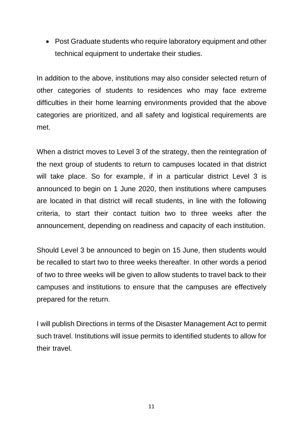• Post Graduate students who require laboratory equipment and other technical equipment to undertake their studies.

In addition to the above, institutions may also consider selected return of other categories of students to residences who may face extreme difficulties in their home learning environments provided that the above categories are prioritized, and all safety and logistical requirements are met.

When a district moves to Level 3 of the strategy, then the reintegration of the next group of students to return to campuses located in that district will take place. So for example, if in a particular district Level 3 is announced to begin on 1 June 2020, then institutions where campuses are located in that district will recall students, in line with the following criteria, to start their contact tuition two to three weeks after the announcement, depending on readiness and capacity of each institution.

Should Level 3 be announced to begin on 15 June, then students would be recalled to start two to three weeks thereafter. In other words a period of two to three weeks will be given to allow students to travel back to their campuses and institutions to ensure that the campuses are effectively prepared for the return.

I will publish Directions in terms of the Disaster Management Act to permit such travel. Institutions will issue permits to identified students to allow for their travel.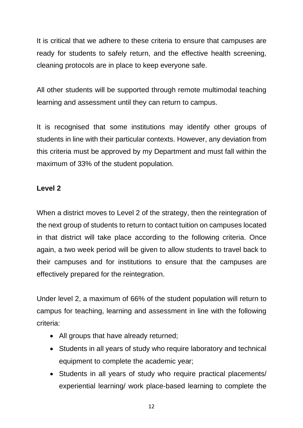It is critical that we adhere to these criteria to ensure that campuses are ready for students to safely return, and the effective health screening, cleaning protocols are in place to keep everyone safe.

All other students will be supported through remote multimodal teaching learning and assessment until they can return to campus.

It is recognised that some institutions may identify other groups of students in line with their particular contexts. However, any deviation from this criteria must be approved by my Department and must fall within the maximum of 33% of the student population.

# **Level 2**

When a district moves to Level 2 of the strategy, then the reintegration of the next group of students to return to contact tuition on campuses located in that district will take place according to the following criteria. Once again, a two week period will be given to allow students to travel back to their campuses and for institutions to ensure that the campuses are effectively prepared for the reintegration.

Under level 2, a maximum of 66% of the student population will return to campus for teaching, learning and assessment in line with the following criteria:

- All groups that have already returned;
- Students in all years of study who require laboratory and technical equipment to complete the academic year;
- Students in all years of study who require practical placements/ experiential learning/ work place-based learning to complete the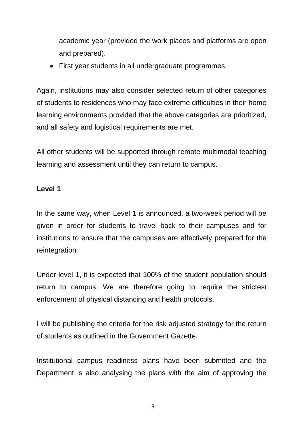academic year (provided the work places and platforms are open and prepared).

• First year students in all undergraduate programmes.

Again, institutions may also consider selected return of other categories of students to residences who may face extreme difficulties in their home learning environments provided that the above categories are prioritized, and all safety and logistical requirements are met.

All other students will be supported through remote multimodal teaching learning and assessment until they can return to campus.

# **Level 1**

In the same way, when Level 1 is announced, a two-week period will be given in order for students to travel back to their campuses and for institutions to ensure that the campuses are effectively prepared for the reintegration.

Under level 1, it is expected that 100% of the student population should return to campus. We are therefore going to require the strictest enforcement of physical distancing and health protocols.

I will be publishing the criteria for the risk adjusted strategy for the return of students as outlined in the Government Gazette.

Institutional campus readiness plans have been submitted and the Department is also analysing the plans with the aim of approving the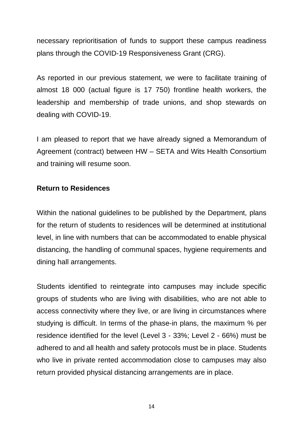necessary reprioritisation of funds to support these campus readiness plans through the COVID-19 Responsiveness Grant (CRG).

As reported in our previous statement, we were to facilitate training of almost 18 000 (actual figure is 17 750) frontline health workers, the leadership and membership of trade unions, and shop stewards on dealing with COVID-19.

I am pleased to report that we have already signed a Memorandum of Agreement (contract) between HW – SETA and Wits Health Consortium and training will resume soon.

#### **Return to Residences**

Within the national guidelines to be published by the Department, plans for the return of students to residences will be determined at institutional level, in line with numbers that can be accommodated to enable physical distancing, the handling of communal spaces, hygiene requirements and dining hall arrangements.

Students identified to reintegrate into campuses may include specific groups of students who are living with disabilities, who are not able to access connectivity where they live, or are living in circumstances where studying is difficult. In terms of the phase-in plans, the maximum % per residence identified for the level (Level 3 - 33%; Level 2 - 66%) must be adhered to and all health and safety protocols must be in place. Students who live in private rented accommodation close to campuses may also return provided physical distancing arrangements are in place.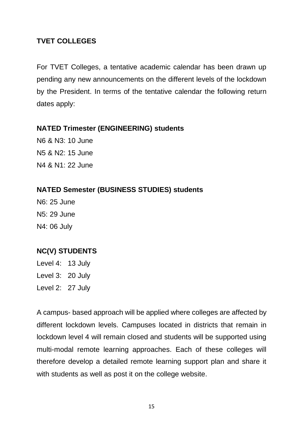# **TVET COLLEGES**

For TVET Colleges, a tentative academic calendar has been drawn up pending any new announcements on the different levels of the lockdown by the President. In terms of the tentative calendar the following return dates apply:

# **NATED Trimester (ENGINEERING) students**

N6 & N3: 10 June N5 & N2: 15 June N4 & N1: 22 June

# **NATED Semester (BUSINESS STUDIES) students**

N6: 25 June N5: 29 June N4: 06 July

# **NC(V) STUDENTS**

Level 4: 13 July Level 3: 20 July

Level 2: 27 July

A campus- based approach will be applied where colleges are affected by different lockdown levels. Campuses located in districts that remain in lockdown level 4 will remain closed and students will be supported using multi-modal remote learning approaches. Each of these colleges will therefore develop a detailed remote learning support plan and share it with students as well as post it on the college website.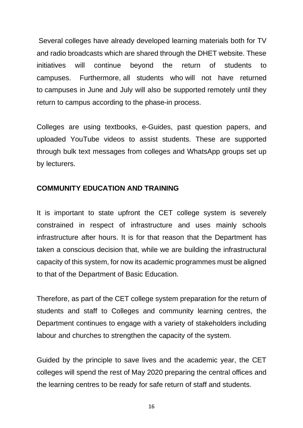Several colleges have already developed learning materials both for TV and radio broadcasts which are shared through the DHET website. These initiatives will continue beyond the return of students to campuses. Furthermore, all students who will not have returned to campuses in June and July will also be supported remotely until they return to campus according to the phase-in process.

Colleges are using textbooks, e-Guides, past question papers, and uploaded YouTube videos to assist students. These are supported through bulk text messages from colleges and WhatsApp groups set up by lecturers.

# **COMMUNITY EDUCATION AND TRAINING**

It is important to state upfront the CET college system is severely constrained in respect of infrastructure and uses mainly schools infrastructure after hours. It is for that reason that the Department has taken a conscious decision that, while we are building the infrastructural capacity of this system, for now its academic programmes must be aligned to that of the Department of Basic Education.

Therefore, as part of the CET college system preparation for the return of students and staff to Colleges and community learning centres, the Department continues to engage with a variety of stakeholders including labour and churches to strengthen the capacity of the system.

Guided by the principle to save lives and the academic year, the CET colleges will spend the rest of May 2020 preparing the central offices and the learning centres to be ready for safe return of staff and students.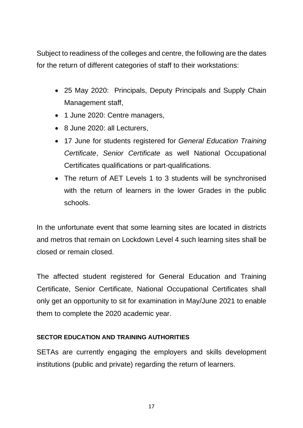Subject to readiness of the colleges and centre, the following are the dates for the return of different categories of staff to their workstations:

- 25 May 2020: Principals, Deputy Principals and Supply Chain Management staff,
- 1 June 2020: Centre managers,
- 8 June 2020: all Lecturers,
- 17 June for students registered for *General Education Training Certificate*, *Senior Certificate* as well National Occupational Certificates qualifications or part-qualifications.
- The return of AET Levels 1 to 3 students will be synchronised with the return of learners in the lower Grades in the public schools.

In the unfortunate event that some learning sites are located in districts and metros that remain on Lockdown Level 4 such learning sites shall be closed or remain closed.

The affected student registered for General Education and Training Certificate, Senior Certificate, National Occupational Certificates shall only get an opportunity to sit for examination in May/June 2021 to enable them to complete the 2020 academic year.

# **SECTOR EDUCATION AND TRAINING AUTHORITIES**

SETAs are currently engaging the employers and skills development institutions (public and private) regarding the return of learners.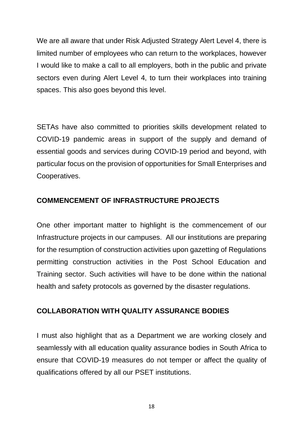We are all aware that under Risk Adjusted Strategy Alert Level 4, there is limited number of employees who can return to the workplaces, however I would like to make a call to all employers, both in the public and private sectors even during Alert Level 4, to turn their workplaces into training spaces. This also goes beyond this level.

SETAs have also committed to priorities skills development related to COVID-19 pandemic areas in support of the supply and demand of essential goods and services during COVID-19 period and beyond, with particular focus on the provision of opportunities for Small Enterprises and Cooperatives.

# **COMMENCEMENT OF INFRASTRUCTURE PROJECTS**

One other important matter to highlight is the commencement of our Infrastructure projects in our campuses. All our **i**nstitutions are preparing for the resumption of construction activities upon gazetting of Regulations permitting construction activities in the Post School Education and Training sector. Such activities will have to be done within the national health and safety protocols as governed by the disaster regulations.

# **COLLABORATION WITH QUALITY ASSURANCE BODIES**

I must also highlight that as a Department we are working closely and seamlessly with all education quality assurance bodies in South Africa to ensure that COVID-19 measures do not temper or affect the quality of qualifications offered by all our PSET institutions.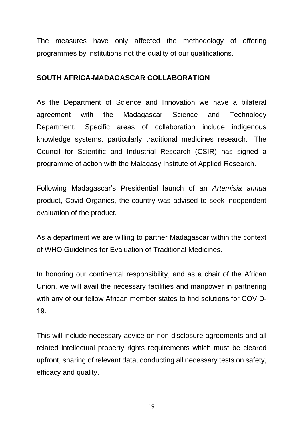The measures have only affected the methodology of offering programmes by institutions not the quality of our qualifications.

#### **SOUTH AFRICA-MADAGASCAR COLLABORATION**

As the Department of Science and Innovation we have a bilateral agreement with the Madagascar Science and Technology Department. Specific areas of collaboration include indigenous knowledge systems, particularly traditional medicines research. The Council for Scientific and Industrial Research (CSIR) has signed a programme of action with the Malagasy Institute of Applied Research.

Following Madagascar's Presidential launch of an *Artemisia annua* product, Covid-Organics, the country was advised to seek independent evaluation of the product.

As a department we are willing to partner Madagascar within the context of WHO Guidelines for Evaluation of Traditional Medicines.

In honoring our continental responsibility, and as a chair of the African Union, we will avail the necessary facilities and manpower in partnering with any of our fellow African member states to find solutions for COVID-19.

This will include necessary advice on non-disclosure agreements and all related intellectual property rights requirements which must be cleared upfront, sharing of relevant data, conducting all necessary tests on safety, efficacy and quality.